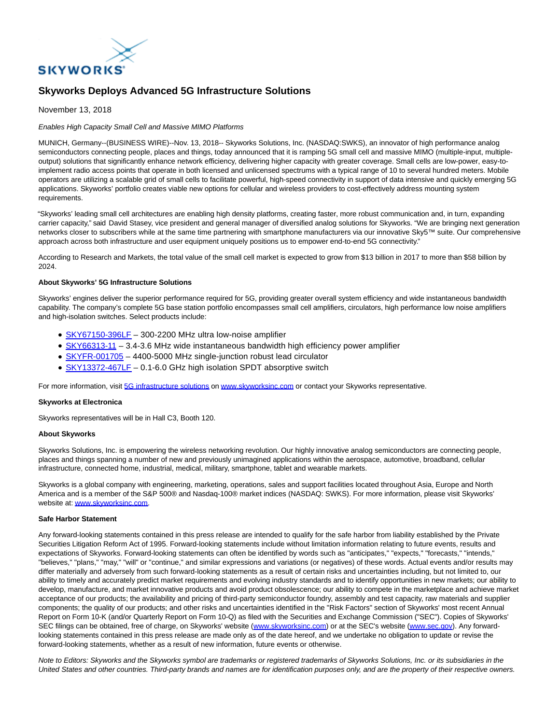

# **Skyworks Deploys Advanced 5G Infrastructure Solutions**

November 13, 2018

### Enables High Capacity Small Cell and Massive MIMO Platforms

MUNICH, Germany--(BUSINESS WIRE)--Nov. 13, 2018-- Skyworks Solutions, Inc. (NASDAQ:SWKS), an innovator of high performance analog semiconductors connecting people, places and things, today announced that it is ramping 5G small cell and massive MIMO (multiple-input, multipleoutput) solutions that significantly enhance network efficiency, delivering higher capacity with greater coverage. Small cells are low-power, easy-toimplement radio access points that operate in both licensed and unlicensed spectrums with a typical range of 10 to several hundred meters. Mobile operators are utilizing a scalable grid of small cells to facilitate powerful, high-speed connectivity in support of data intensive and quickly emerging 5G applications. Skyworks' portfolio creates viable new options for cellular and wireless providers to cost-effectively address mounting system requirements.

"Skyworks' leading small cell architectures are enabling high density platforms, creating faster, more robust communication and, in turn, expanding carrier capacity," said David Stasey, vice president and general manager of diversified analog solutions for Skyworks. "We are bringing next generation networks closer to subscribers while at the same time partnering with smartphone manufacturers via our innovative Sky5™ suite. Our comprehensive approach across both infrastructure and user equipment uniquely positions us to empower end-to-end 5G connectivity."

According to Research and Markets, the total value of the small cell market is expected to grow from \$13 billion in 2017 to more than \$58 billion by 2024.

## **About Skyworks' 5G Infrastructure Solutions**

Skyworks' engines deliver the superior performance required for 5G, providing greater overall system efficiency and wide instantaneous bandwidth capability. The company's complete 5G base station portfolio encompasses small cell amplifiers, circulators, high performance low noise amplifiers and high-isolation switches. Select products include:

- [SKY67150-396LF](http://cts.businesswire.com/ct/CT?id=smartlink&url=http%3A%2F%2Fwww.skyworksinc.com%2FProduct%2F1729%2FSKY67150-396LF%3FIsProduct%3Dtrue%3Fsource%3Dpr&esheet=51898871&newsitemid=20181112005839&lan=en-US&anchor=SKY67150-396LF&index=1&md5=6143f68c8fec3dc577e348c73866a373)  300-2200 MHz ultra low-noise amplifier
- [SKY66313-11 –](http://cts.businesswire.com/ct/CT?id=smartlink&url=http%3A%2F%2Fwww.skyworksinc.com%2FProduct%2F4113%2FSKY66313-11%3Fsource%3Dpr&esheet=51898871&newsitemid=20181112005839&lan=en-US&anchor=SKY66313-11&index=2&md5=310abe0b666765e9358a2f732269f9c8) 3.4-3.6 MHz wide instantaneous bandwidth high efficiency power amplifier
- SKYFR-001705 4400-5000 MHz single-junction robust lead circulator
- [SKY13372-467LF](http://cts.businesswire.com/ct/CT?id=smartlink&url=http%3A%2F%2Fwww.skyworksinc.com%2FProduct%2F1483%2FSKY13372-467LF%3Fsource%3Dpr&esheet=51898871&newsitemid=20181112005839&lan=en-US&anchor=SKY13372-467LF&index=4&md5=eb333a6ed6d1c7b825be47d69c6d85ba)  0.1-6.0 GHz high isolation SPDT absorptive switch

For more information, visit [5G infrastructure solutions o](http://cts.businesswire.com/ct/CT?id=smartlink&url=http%3A%2F%2Fwww.skyworksinc.com%2FMarket%2F22%2FWireless_Infrastructure%3Fsource%3Dpr&esheet=51898871&newsitemid=20181112005839&lan=en-US&anchor=5G+infrastructure+solutions&index=5&md5=281a3339edb4bbca187d7ce74489cc83)n [www.skyworksinc.com o](http://cts.businesswire.com/ct/CT?id=smartlink&url=http%3A%2F%2Fwww.skyworksinc.com&esheet=51898871&newsitemid=20181112005839&lan=en-US&anchor=www.skyworksinc.com&index=6&md5=d1d69fc13e23f064963882371c73d001)r contact your Skyworks representative.

### **Skyworks at Electronica**

Skyworks representatives will be in Hall C3, Booth 120.

### **About Skyworks**

Skyworks Solutions, Inc. is empowering the wireless networking revolution. Our highly innovative analog semiconductors are connecting people, places and things spanning a number of new and previously unimagined applications within the aerospace, automotive, broadband, cellular infrastructure, connected home, industrial, medical, military, smartphone, tablet and wearable markets.

Skyworks is a global company with engineering, marketing, operations, sales and support facilities located throughout Asia, Europe and North America and is a member of the S&P 500® and Nasdaq-100® market indices (NASDAQ: SWKS). For more information, please visit Skyworks' website at[: www.skyworksinc.com.](http://cts.businesswire.com/ct/CT?id=smartlink&url=http%3A%2F%2Fwww.skyworksinc.com&esheet=51898871&newsitemid=20181112005839&lan=en-US&anchor=www.skyworksinc.com&index=7&md5=f3a3886f4adbcb0f89ee5b22e2030381)

#### **Safe Harbor Statement**

Any forward-looking statements contained in this press release are intended to qualify for the safe harbor from liability established by the Private Securities Litigation Reform Act of 1995. Forward-looking statements include without limitation information relating to future events, results and expectations of Skyworks. Forward-looking statements can often be identified by words such as "anticipates," "expects," "forecasts," "intends," "believes," "plans," "may," "will" or "continue," and similar expressions and variations (or negatives) of these words. Actual events and/or results may differ materially and adversely from such forward-looking statements as a result of certain risks and uncertainties including, but not limited to, our ability to timely and accurately predict market requirements and evolving industry standards and to identify opportunities in new markets; our ability to develop, manufacture, and market innovative products and avoid product obsolescence; our ability to compete in the marketplace and achieve market acceptance of our products; the availability and pricing of third-party semiconductor foundry, assembly and test capacity, raw materials and supplier components; the quality of our products; and other risks and uncertainties identified in the "Risk Factors" section of Skyworks' most recent Annual Report on Form 10-K (and/or Quarterly Report on Form 10-Q) as filed with the Securities and Exchange Commission ("SEC"). Copies of Skyworks' SEC filings can be obtained, free of charge, on Skyworks' website [\(www.skyworksinc.com\)](http://cts.businesswire.com/ct/CT?id=smartlink&url=http%3A%2F%2Fwww.skyworksinc.com&esheet=51898871&newsitemid=20181112005839&lan=en-US&anchor=www.skyworksinc.com&index=8&md5=e081d3bfb44aa32ab523d778ee6a837b) or at the SEC's website [\(www.sec.gov\).](http://www.sec.gov/) Any forwardlooking statements contained in this press release are made only as of the date hereof, and we undertake no obligation to update or revise the forward-looking statements, whether as a result of new information, future events or otherwise.

Note to Editors: Skyworks and the Skyworks symbol are trademarks or registered trademarks of Skyworks Solutions, Inc. or its subsidiaries in the United States and other countries. Third-party brands and names are for identification purposes only, and are the property of their respective owners.